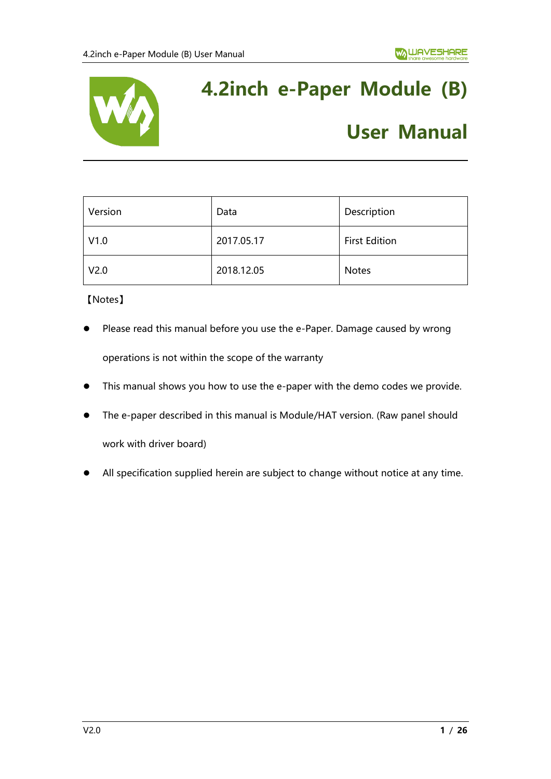

# **4.2inch e-Paper Module (B)**

# **User Manual**

| Version          | Data       | Description          |
|------------------|------------|----------------------|
| V1.0             | 2017.05.17 | <b>First Edition</b> |
| V <sub>2.0</sub> | 2018.12.05 | <b>Notes</b>         |

【Notes】

- Please read this manual before you use the e-Paper. Damage caused by wrong operations is not within the scope of the warranty
- ⚫ This manual shows you how to use the e-paper with the demo codes we provide.
- The e-paper described in this manual is Module/HAT version. (Raw panel should work with driver board)
- ⚫ All specification supplied herein are subject to change without notice at any time.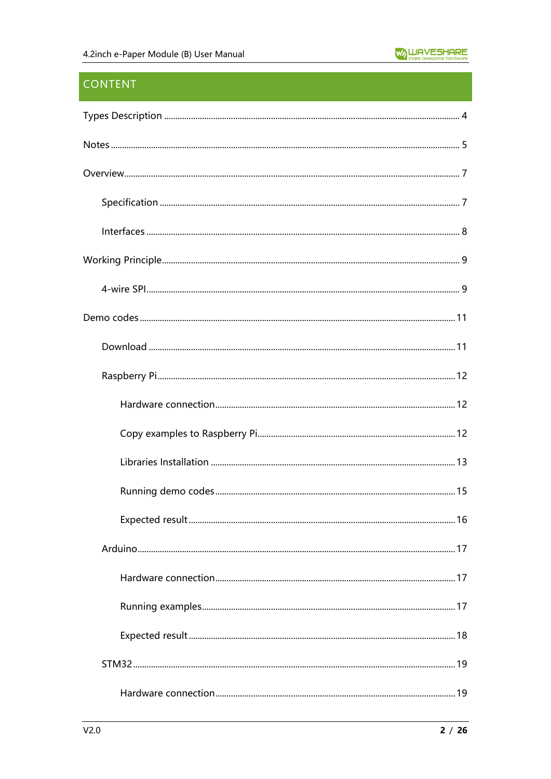# **CONTENT**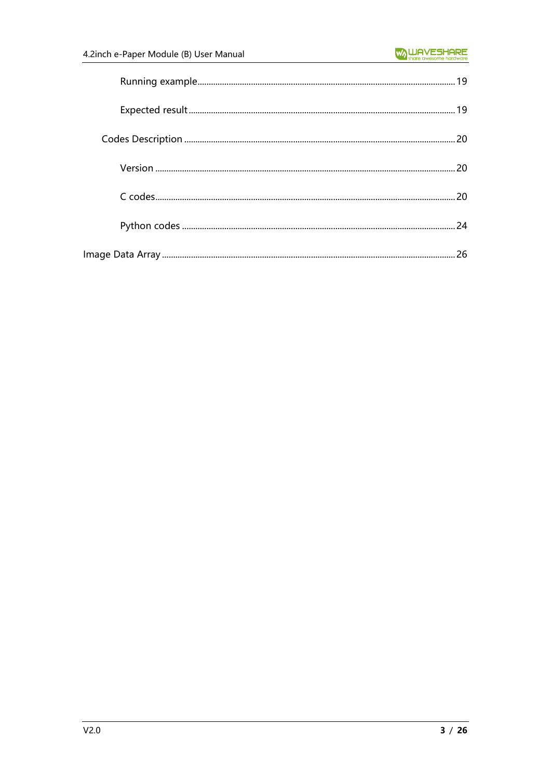| 20 |
|----|
|    |
|    |
| 24 |
| 26 |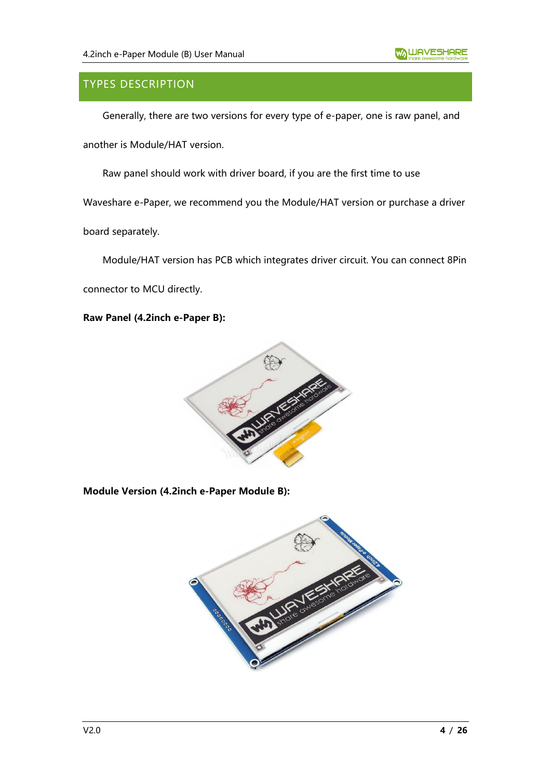# <span id="page-3-0"></span>TYPES DESCRIPTION

Generally, there are two versions for every type of e-paper, one is raw panel, and another is Module/HAT version.

Raw panel should work with driver board, if you are the first time to use

Waveshare e-Paper, we recommend you the Module/HAT version or purchase a driver

board separately.

Module/HAT version has PCB which integrates driver circuit. You can connect 8Pin

connector to MCU directly.

**Raw Panel (4.2inch e-Paper B):**



#### **Module Version (4.2inch e-Paper Module B):**

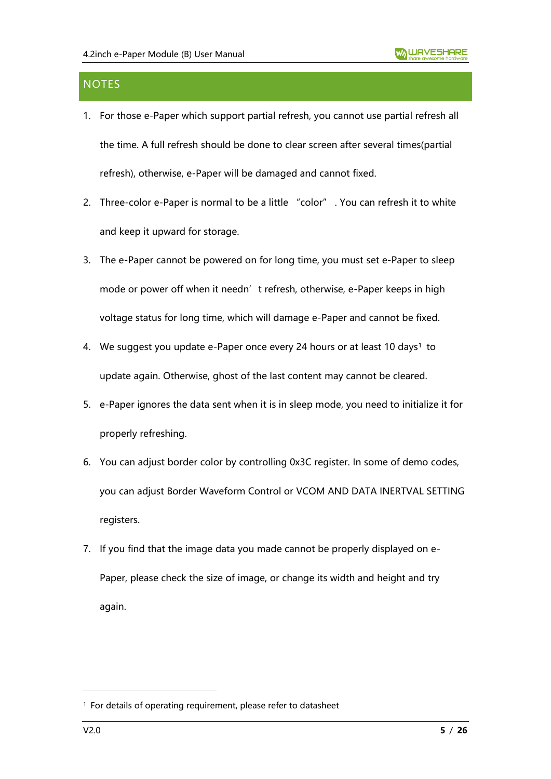# <span id="page-4-0"></span>**NOTES**

- 1. For those e-Paper which support partial refresh, you cannot use partial refresh all the time. A full refresh should be done to clear screen after several times(partial refresh), otherwise, e-Paper will be damaged and cannot fixed.
- 2. Three-color e-Paper is normal to be a little "color" . You can refresh it to white and keep it upward for storage.
- 3. The e-Paper cannot be powered on for long time, you must set e-Paper to sleep mode or power off when it needn't refresh, otherwise, e-Paper keeps in high voltage status for long time, which will damage e-Paper and cannot be fixed.
- 4. We suggest you update e-Paper once every 24 hours or at least 10 days<sup>1</sup> to update again. Otherwise, ghost of the last content may cannot be cleared.
- 5. e-Paper ignores the data sent when it is in sleep mode, you need to initialize it for properly refreshing.
- 6. You can adjust border color by controlling 0x3C register. In some of demo codes, you can adjust Border Waveform Control or VCOM AND DATA INERTVAL SETTING registers.
- 7. If you find that the image data you made cannot be properly displayed on e-Paper, please check the size of image, or change its width and height and try again.

<sup>1</sup> For details of operating requirement, please refer to datasheet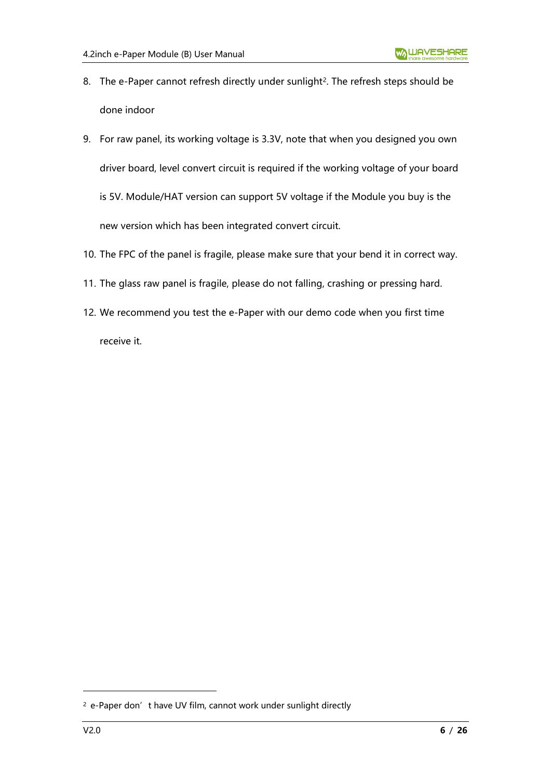- 8. The e-Paper cannot refresh directly under sunlight<sup>2</sup>. The refresh steps should be done indoor
- 9. For raw panel, its working voltage is 3.3V, note that when you designed you own driver board, level convert circuit is required if the working voltage of your board is 5V. Module/HAT version can support 5V voltage if the Module you buy is the new version which has been integrated convert circuit.
- 10. The FPC of the panel is fragile, please make sure that your bend it in correct way.
- 11. The glass raw panel is fragile, please do not falling, crashing or pressing hard.
- 12. We recommend you test the e-Paper with our demo code when you first time receive it.

<sup>&</sup>lt;sup>2</sup> e-Paper don't have UV film, cannot work under sunlight directly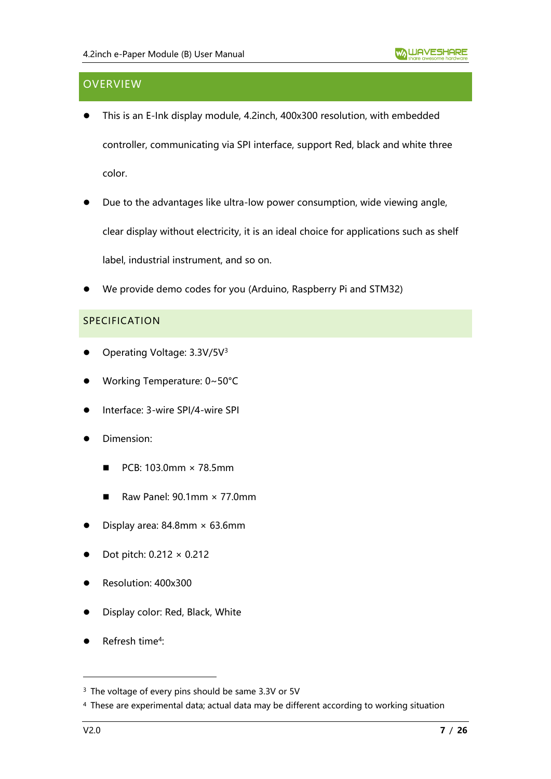# <span id="page-6-0"></span>**OVERVIEW**

- ⚫ This is an E-Ink display module, 4.2inch, 400x300 resolution, with embedded controller, communicating via SPI interface, support Red, black and white three color.
- Due to the advantages like ultra-low power consumption, wide viewing angle, clear display without electricity, it is an ideal choice for applications such as shelf label, industrial instrument, and so on.
- ⚫ We provide demo codes for you (Arduino, Raspberry Pi and STM32)

#### <span id="page-6-1"></span>SPECIFICATION

- Operating Voltage: 3.3V/5V<sup>3</sup>
- ⚫ Working Temperature: 0~50°C
- ⚫ Interface: 3-wire SPI/4-wire SPI
- ⚫ Dimension:
	- $\blacksquare$  PCB: 103.0mm  $\times$  78.5mm
	- $\blacksquare$  Raw Panel: 90.1mm  $\times$  77.0mm
- Display area:  $84.8$ mm  $\times$  63.6mm
- ⚫ Dot pitch: 0.212 × 0.212
- ⚫ Resolution: 400x300
- ⚫ Display color: Red, Black, White
- Refresh time<sup>4</sup>:

<sup>&</sup>lt;sup>3</sup> The voltage of every pins should be same 3.3V or 5V

<sup>4</sup> These are experimental data; actual data may be different according to working situation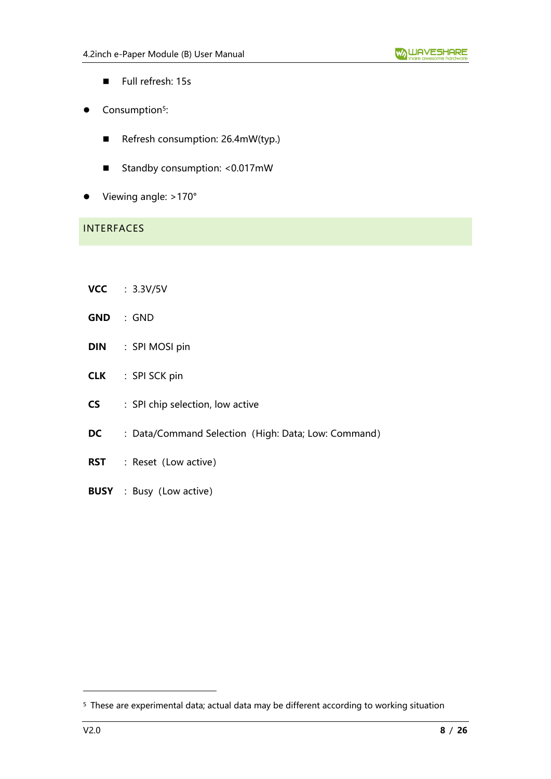- Full refresh: 15s
- Consumption<sup>5</sup>:
	- Refresh consumption: 26.4mW(typ.)
	- Standby consumption: <0.017mW
- Viewing angle: >170°

# <span id="page-7-0"></span>INTERFACES

- **VCC** :3.3V/5V
- **GND** :GND
- **DIN** : SPI MOSI pin
- **CLK** : SPI SCK pin
- **CS** : SPI chip selection, low active
- **DC** : Data/Command Selection (High: Data; Low: Command)
- **RST** : Reset (Low active)
- **BUSY** : Busy (Low active)

<sup>5</sup> These are experimental data; actual data may be different according to working situation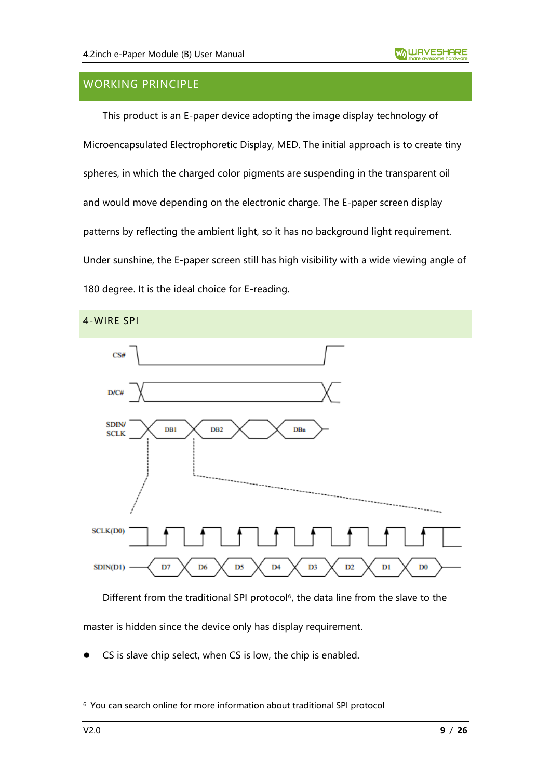# <span id="page-8-0"></span>WORKING PRINCIPLE

This product is an E-paper device adopting the image display technology of Microencapsulated Electrophoretic Display, MED. The initial approach is to create tiny spheres, in which the charged color pigments are suspending in the transparent oil and would move depending on the electronic charge. The E-paper screen display patterns by reflecting the ambient light, so it has no background light requirement. Under sunshine, the E-paper screen still has high visibility with a wide viewing angle of 180 degree. It is the ideal choice for E-reading.

<span id="page-8-1"></span>

Different from the traditional SPI protocol<sup>6</sup>, the data line from the slave to the master is hidden since the device only has display requirement.

CS is slave chip select, when CS is low, the chip is enabled.

<sup>6</sup> You can search online for more information about traditional SPI protocol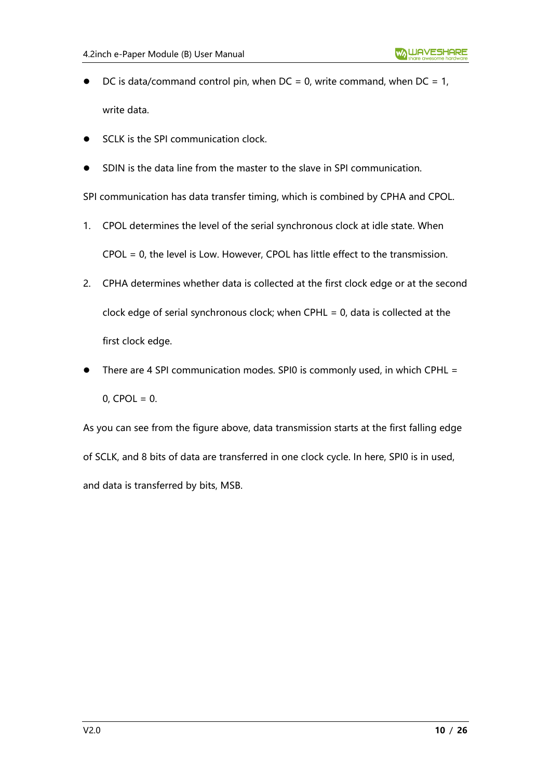- DC is data/command control pin, when  $DC = 0$ , write command, when  $DC = 1$ , write data.
- SCLK is the SPI communication clock.
- ⚫ SDIN is the data line from the master to the slave in SPI communication.

SPI communication has data transfer timing, which is combined by CPHA and CPOL.

- 1. CPOL determines the level of the serial synchronous clock at idle state. When CPOL = 0, the level is Low. However, CPOL has little effect to the transmission.
- 2. CPHA determines whether data is collected at the first clock edge or at the second clock edge of serial synchronous clock; when CPHL = 0, data is collected at the first clock edge.
- There are 4 SPI communication modes. SPI0 is commonly used, in which CPHL =  $0,$  CPOL = 0.

As you can see from the figure above, data transmission starts at the first falling edge of SCLK, and 8 bits of data are transferred in one clock cycle. In here, SPI0 is in used, and data is transferred by bits, MSB.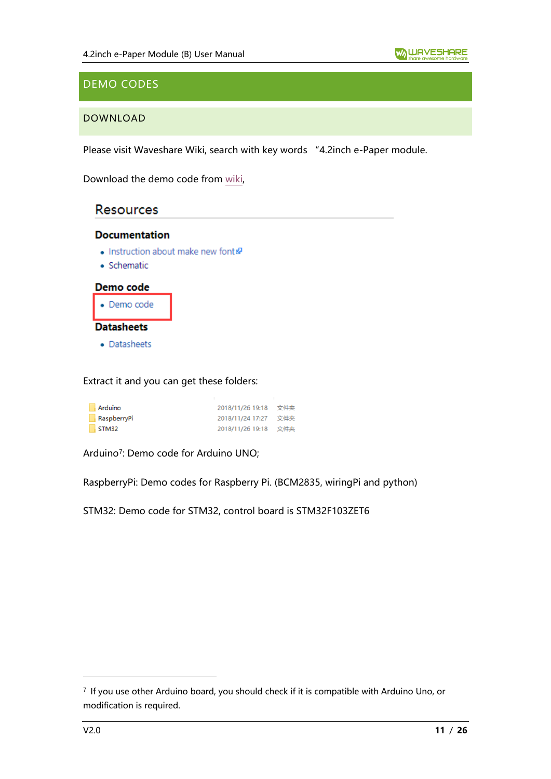# <span id="page-10-0"></span>DEMO CODES

## <span id="page-10-1"></span>DOWNLOAD

Please visit Waveshare Wiki, search with key words "4.2inch e-Paper module.

Download the demo code from [wiki,](https://www.waveshare.com/wiki/4.2inch_e-Paper_Module_(B))

# **Resources**

#### **Documentation**

- Instruction about make new font
- · Schematic



Extract it and you can get these folders:

| Arduino     | 2018/11/26 19:18 文件夹 |     |
|-------------|----------------------|-----|
| RaspberryPi | 2018/11/24 17:27     | 文件夹 |
| STM32       | 2018/11/26 19:18 文件夹 |     |

Arduino<sup>7</sup> : Demo code for Arduino UNO;

RaspberryPi: Demo codes for Raspberry Pi. (BCM2835, wiringPi and python)

STM32: Demo code for STM32, control board is STM32F103ZET6

<sup>7</sup> If you use other Arduino board, you should check if it is compatible with Arduino Uno, or modification is required.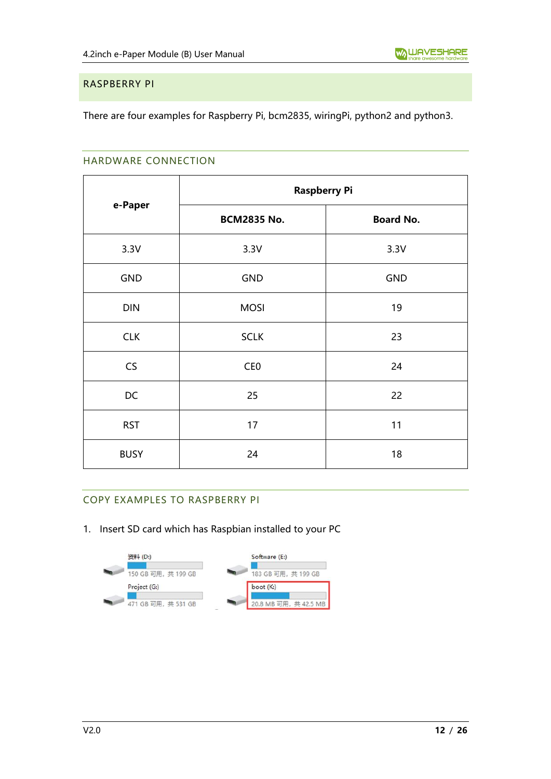#### <span id="page-11-0"></span>RASPBERRY PI

<span id="page-11-1"></span>There are four examples for Raspberry Pi, bcm2835, wiringPi, python2 and python3.

#### HARDWARE CONNECTION

|             | <b>Raspberry Pi</b> |                  |  |
|-------------|---------------------|------------------|--|
| e-Paper     | <b>BCM2835 No.</b>  | <b>Board No.</b> |  |
| 3.3V        | 3.3V                | 3.3V             |  |
| <b>GND</b>  | <b>GND</b>          | <b>GND</b>       |  |
| <b>DIN</b>  | <b>MOSI</b>         | 19               |  |
| <b>CLK</b>  | <b>SCLK</b>         | 23               |  |
| CS          | CE <sub>0</sub>     | 24               |  |
| DC          | 25                  | 22               |  |
| <b>RST</b>  | 17                  | 11               |  |
| <b>BUSY</b> | 24                  | 18               |  |

## <span id="page-11-2"></span>COPY EXAMPLES TO RASPBERRY PI

1. Insert SD card which has Raspbian installed to your PC

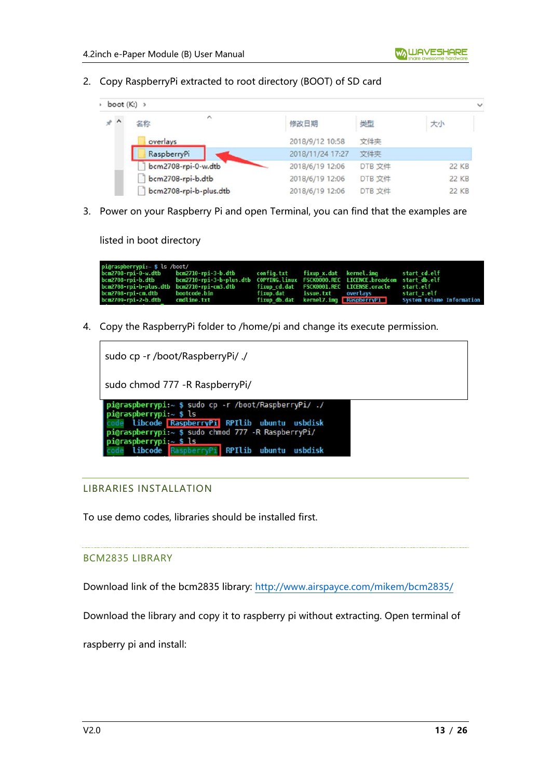2. Copy RaspberryPi extracted to root directory (BOOT) of SD card

| $\rightarrow$ boot (K:) $\rightarrow$ |                           |                  |        |              |
|---------------------------------------|---------------------------|------------------|--------|--------------|
| $*$ ^                                 | $\hat{\phantom{a}}$<br>名称 | 修改日期             | 类型     | 大小           |
|                                       | overlays                  | 2018/9/12 10:58  | 文件夹    |              |
|                                       | RaspberryPi               | 2018/11/24 17:27 | 文件夹    |              |
|                                       | bcm2708-rpi-0-w.dtb       | 2018/6/19 12:06  | DTB 文件 | 22 KB        |
|                                       | bcm2708-rpi-b.dtb         | 2018/6/19 12:06  | DTB 文件 | <b>22 KB</b> |
|                                       | bcm2708-rpi-b-plus.dtb    | 2018/6/19 12:06  | DTB 文件 | 22 KB        |

3. Power on your Raspberry Pi and open Terminal, you can find that the examples are

listed in boot directory

| pi@raspberrypi:~ \$ ls /boot/   |                                                                                                    |  |                                          |                                                                |
|---------------------------------|----------------------------------------------------------------------------------------------------|--|------------------------------------------|----------------------------------------------------------------|
|                                 | bcm2708-rpi-0-w.dtb bcm2710-rpi-3-b.dtb config.txt fixup_x.dat kernel.img start_cd.elf             |  |                                          |                                                                |
|                                 | bcm2708-rpi-b.dtb bcm2710-rpi-3-b-plus.dtb COPYING.linux FSCK0000.REC LICENCE.broadcom startdb.elf |  |                                          |                                                                |
|                                 | bcm2708-rpi-b-plus.dtb bcm2710-rpi-cm3.dtb fixup cd.dat FSCK0001.REC LICENSE.oracle start.elf      |  |                                          |                                                                |
| bcm2708-rpi-cm.dtb bootcode.bin |                                                                                                    |  | fixup.dat issue.txt overlavs startːx.elf |                                                                |
| bcm2709-rpi-2-b.dtb cmdline.txt |                                                                                                    |  |                                          | fixup db.dat kernel7.imq RaspberryPi System Volume Information |

4. Copy the RaspberryPi folder to /home/pi and change its execute permission.

| sudo cp -r /boot/RaspberryPi/ ./                                                                                                                                                                                                                              |
|---------------------------------------------------------------------------------------------------------------------------------------------------------------------------------------------------------------------------------------------------------------|
| sudo chmod 777 - R Raspberry Pi/                                                                                                                                                                                                                              |
| pi@raspberrypi:~ \$ sudo cp -r /boot/RaspberryPi/ ./<br>pi@raspberrypi: $~5$ ls<br>libcode RaspberryPi RPIlib ubuntu usbdisk<br>pi@raspberrypi:~ \$ sudo chmod 777 -R RaspberryPi/<br>pi@raspberrypi: $~5$ ls<br>libcode RaspberryPi RPIlib ubuntu<br>usbdisk |

#### <span id="page-12-0"></span>LIBRARIES INSTALLATION

To use demo codes, libraries should be installed first.

#### BCM2835 LIBRARY

Download link of the bcm2835 library:<http://www.airspayce.com/mikem/bcm2835/>

Download the library and copy it to raspberry pi without extracting. Open terminal of

raspberry pi and install: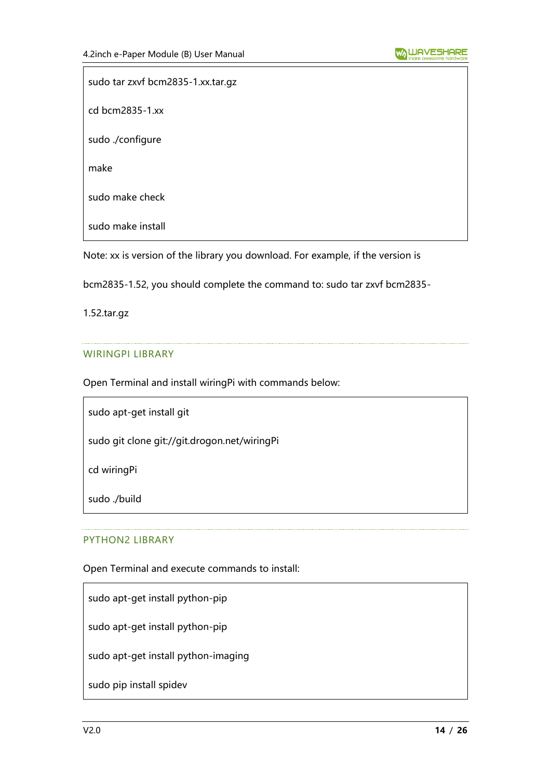sudo tar zxvf bcm2835-1.xx.tar.gz cd bcm2835-1.xx sudo ./configure make sudo make check sudo make install

Note: xx is version of the library you download. For example, if the version is

bcm2835-1.52, you should complete the command to: sudo tar zxvf bcm2835-

1.52.tar.gz

#### WIRINGPI LIBRARY

Open Terminal and install wiringPi with commands below:

sudo apt-get install git

sudo git clone git://git.drogon.net/wiringPi

cd wiringPi

sudo ./build

#### PYTHON2 LIBRARY

Open Terminal and execute commands to install:

sudo apt-get install python-pip

sudo apt-get install python-pip

sudo apt-get install python-imaging

sudo pip install spidev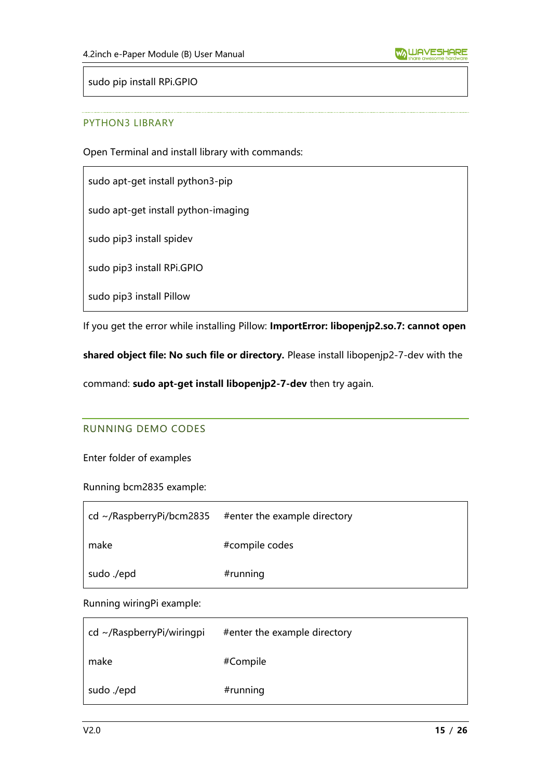sudo pip install RPi.GPIO

#### PYTHON3 LIBRARY

Open Terminal and install library with commands:

sudo apt-get install python3-pip

sudo apt-get install python-imaging

sudo pip3 install spidev

sudo pip3 install RPi.GPIO

sudo pip3 install Pillow

If you get the error while installing Pillow: **ImportError: libopenjp2.so.7: cannot open** 

**shared object file: No such file or directory.** Please install libopenjp2-7-dev with the

<span id="page-14-0"></span>command: **sudo apt-get install libopenjp2-7-dev** then try again.

#### RUNNING DEMO CODES

Enter folder of examples

Running bcm2835 example:

| cd ~/RaspberryPi/bcm2835 | #enter the example directory |
|--------------------------|------------------------------|
| make                     | #compile codes               |
| sudo ./epd               | #running                     |

Running wiringPi example:

| $cd \sim$ /RaspberryPi/wiringpi | #enter the example directory |
|---------------------------------|------------------------------|
| make                            | #Compile                     |
| sudo ./epd                      | #running                     |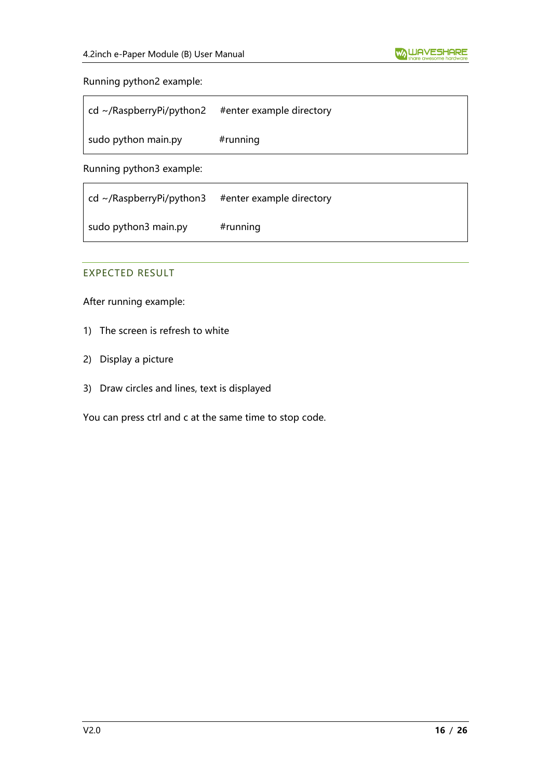#### Running python2 example:

| $\vert$ cd ~/RaspberryPi/python2 | #enter example directory |
|----------------------------------|--------------------------|
| sudo python main.py              | $#$ running              |

Running python3 example:

| $\vert$ cd ~/RaspberryPi/python3 | #enter example directory |
|----------------------------------|--------------------------|
| sudo python3 main.py             | $#$ running              |

#### <span id="page-15-0"></span>EXPECTED RESULT

After running example:

- 1) The screen is refresh to white
- 2) Display a picture
- 3) Draw circles and lines, text is displayed

You can press ctrl and c at the same time to stop code.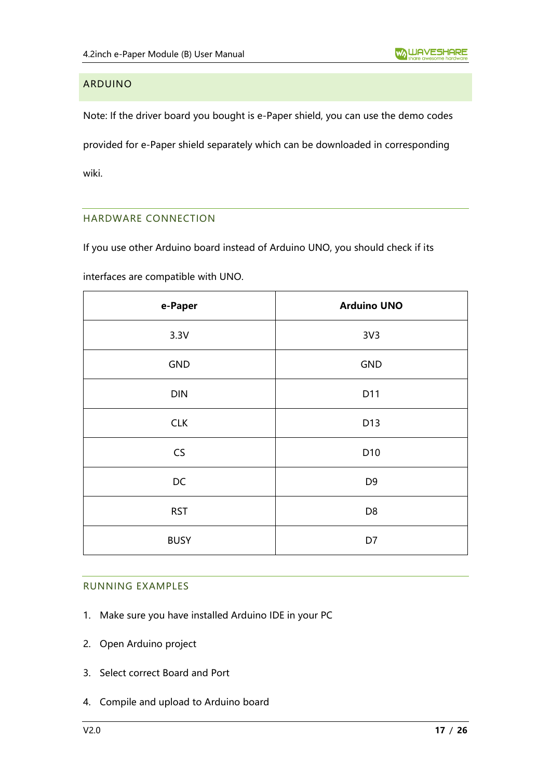## <span id="page-16-0"></span>ARDUINO

Note: If the driver board you bought is e-Paper shield, you can use the demo codes provided for e-Paper shield separately which can be downloaded in corresponding wiki.

## <span id="page-16-1"></span>HARDWARE CONNECTION

If you use other Arduino board instead of Arduino UNO, you should check if its

interfaces are compatible with UNO.

| e-Paper     | <b>Arduino UNO</b> |
|-------------|--------------------|
| 3.3V        | 3V <sub>3</sub>    |
| GND         | GND                |
| DIN         | D11                |
| <b>CLK</b>  | D13                |
| CS          | D10                |
| DC          | D <sub>9</sub>     |
| <b>RST</b>  | D <sub>8</sub>     |
| <b>BUSY</b> | D7                 |

#### <span id="page-16-2"></span>RUNNING EXAMPLES

- 1. Make sure you have installed Arduino IDE in your PC
- 2. Open Arduino project
- 3. Select correct Board and Port
- 4. Compile and upload to Arduino board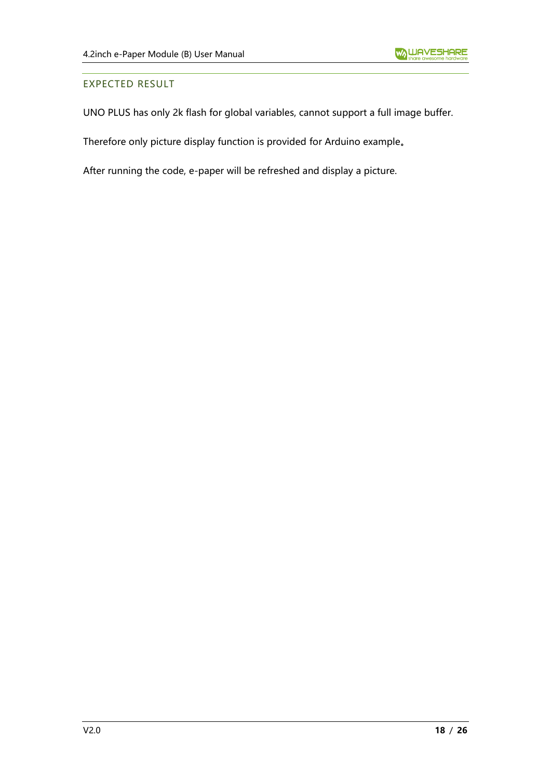#### <span id="page-17-0"></span>EXPECTED RESULT

UNO PLUS has only 2k flash for global variables, cannot support a full image buffer.

Therefore only picture display function is provided for Arduino example。

After running the code, e-paper will be refreshed and display a picture.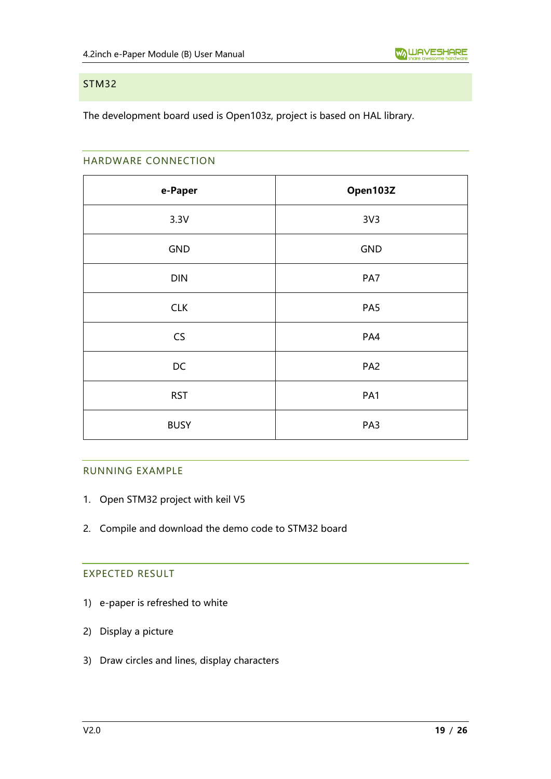#### <span id="page-18-0"></span>STM32

<span id="page-18-1"></span>The development board used is Open103z, project is based on HAL library.

#### HARDWARE CONNECTION

| e-Paper     | Open103Z        |
|-------------|-----------------|
| 3.3V        | 3V <sub>3</sub> |
| GND         | <b>GND</b>      |
| DIN         | PA7             |
| <b>CLK</b>  | PA <sub>5</sub> |
| CS          | PA4             |
| DC          | PA <sub>2</sub> |
| <b>RST</b>  | PA1             |
| <b>BUSY</b> | PA3             |

#### <span id="page-18-2"></span>RUNNING EXAMPLE

- 1. Open STM32 project with keil V5
- <span id="page-18-3"></span>2. Compile and download the demo code to STM32 board

# EXPECTED RESULT

- 1) e-paper is refreshed to white
- 2) Display a picture
- 3) Draw circles and lines, display characters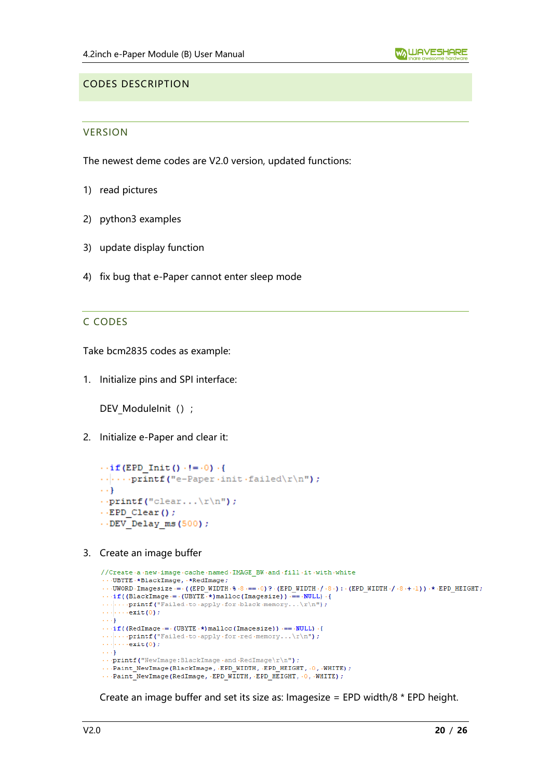## <span id="page-19-1"></span><span id="page-19-0"></span>CODES DESCRIPTION

#### **VERSION**

The newest deme codes are V2.0 version, updated functions:

- 1) read pictures
- 2) python3 examples
- 3) update display function
- <span id="page-19-2"></span>4) fix bug that e-Paper cannot enter sleep mode

#### C CODES

Take bcm2835 codes as example:

1. Initialize pins and SPI interface:

DEV\_ModuleInit () ;

2. Initialize e-Paper and clear it:

```
\cdot if (EPD Init () \cdot != \cdot 0) \cdot {
\cdotsprintf("e-Paper\cdotinit\cdotfailed\r\n");
\cdots}
\cdot.printf("clear...\mathbf{r} \cdot \mathbf{n}");
\cdot EPD Clear();
\cdot DEV Delay ms (500);
```
3. Create an image buffer

```
//Create-a-new-image-cache-named-IMAGE_BW-and-fill-it-with-white
\cdotsUBYTE\cdot *BlackImage, \cdot *RedImage;
\cdots \texttt{UWORD}\cdot \texttt{Imagesize} \gets \\ \vdots \\ \texttt{(EPD_WIDTH}\cdot \$\cdot \$\cdot = 0) ? \cdot \texttt{(EPD_WIDTH}\cdot /\cdot \$\cdot ) : \cdot \texttt{(EPD_WIDTH}\cdot /\cdot \$\cdot + \cdot 1)) \cdot *\cdot \texttt{EPD_HEIGHT}\cdotsif((BlackImage = - (UBYTE *) malloc(Imagesize)) == -NULL) -{
\ldots ... exit (0) ;
\rightarrow + \rightarrow }.
\cdotsif((RedImage = \cdot (UBYTE \cdot*) malloc(Imagesize)) == \cdotNULL) \cdot{
\ldots...exit (0) ;
\ldots ).
\cdotsprintf("NewImage:BlackImage.and.RedImage\r\n");
...Paint_NewImage(BlackImage, .EPD_WIDTH, .EPD_HEIGHT, .0, .WHITE);
... Paint NewImage (RedImage, EPD WIDTH, EPD HEIGHT, 0, WHITE);
```
Create an image buffer and set its size as: Imagesize = EPD width/8 \* EPD height.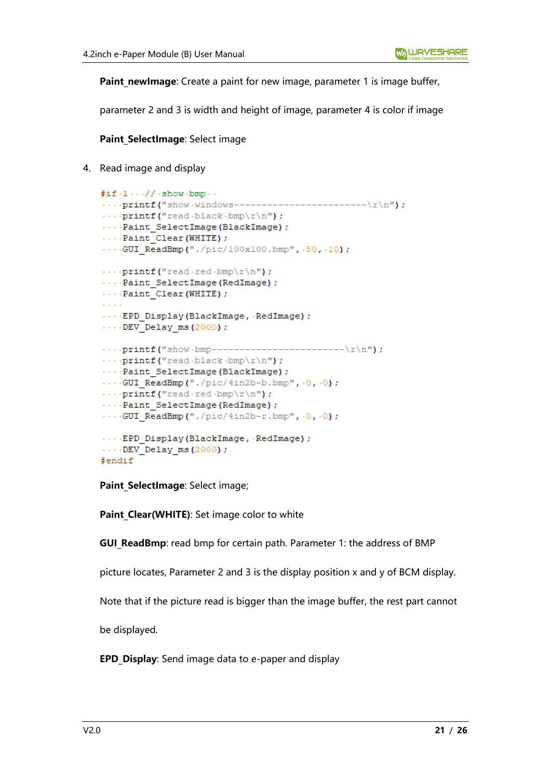**Paint newImage**: Create a paint for new image, parameter 1 is image buffer,

parameter 2 and 3 is width and height of image, parameter 4 is color if image

**Paint SelectImage: Select image** 

4. Read image and display

```
#if \cdot 1 \cdot \cdot \cdot // \cdot show \cdot bmp \cdot \cdot.... \text{print}(\text{"show-vindows-----------------\x\n^n)....print(f("read \text{black} \cdot bmp\r\nu');....Paint SelectImage(BlackImage);
\cdotsPaint Clear (WHITE) ;
....GUI ReadBmp("./pic/100x100.bmp", .50, .10);
\cdots printf ("read red bmp\r\n");
...Paint SelectImage(RedImage);
...Paint Clear (WHITE) ;
a a ch
....EPD Display(BlackImage, RedImage);
\cdots DEV Delay ms (2000);
\cdotsprintf("read black bmp\r \n\cdot r);
...Paint SelectImage(BlackImage);
\cdotsGUI ReadBmp("./pic/4in2b-b.bmp", \cdot0, \cdot0);
\cdotsprintf("read.red.bmp\r\n");
\cdotsPaint SelectImage(RedImage);
\cdotsGUI ReadBmp("./pic/4in2b-r.bmp", \cdot0, \cdot0);
\cdots EPD Display (BlackImage, RedImage);
\cdots DEV Delay ms (2000);
#endif
```
Paint SelectImage: Select image;

**Paint Clear(WHITE)**: Set image color to white

**GUI ReadBmp**: read bmp for certain path. Parameter 1: the address of BMP

picture locates, Parameter 2 and 3 is the display position x and y of BCM display.

Note that if the picture read is bigger than the image buffer, the rest part cannot

be displayed.

**EPD Display:** Send image data to e-paper and display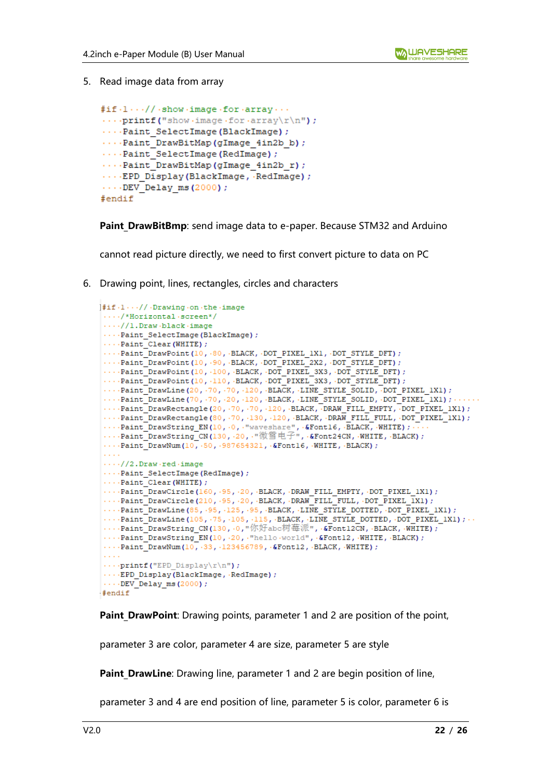5. Read image data from array

```
\# \texttt{if} \cdot 1 \cdots / / \cdot \texttt{show} \cdot \texttt{image} \cdot \texttt{for} \cdot \texttt{array} \cdots\cdotsprintf("show\cdotimage\cdotfor\cdotarrav\r\n");
...Paint SelectImage(BlackImage);
....Paint DrawBitMap(qImage 4in2b b);
...Paint SelectImage(RedImage);
....Paint DrawBitMap(gImage 4in2b r);
.... EPD Display (BlackImage, RedImage) ;
\cdots DEV Delay ms (2000);
#endif
```
**Paint DrawBitBmp**: send image data to e-paper. Because STM32 and Arduino

cannot read picture directly, we need to first convert picture to data on PC

6. Drawing point, lines, rectangles, circles and characters

```
|#if.1..// Drawing.on.the.image
 \cdots/*Horizontal·screen*/
 \cdots//1.Draw.black.image
 ....Paint SelectImage(BlackImage) ;
\cdotsPaint_Clear (WHITE) ;
 \cdots Paint DrawPoint (10, 80, BLACK, DOT PIXEL 1X1, DOT STYLE DFT);
 \cdotsPaint DrawPoint (10, .90, .BLACK, .DOT PIXEL 2X2, .DOT STYLE DFT) ;
 \cdotsPaint DrawPoint (10, 100, BLACK, DOT PIXEL 3X3, DOT STYLE DFT);
 \cdotsPaint DrawPoint (10, ·110, ·BLACK, ·DOT PIXEL 3X3, ·DOT STYLE DFT) ;
 \cdotsPaint DrawLine (20, 70, 70, 120, BLACK, LINE STYLE SOLID, DOT PIXEL 1X1);
 \cdotsPaint DrawLine (70, \cdot 70, \cdot 20, \cdot 120, \cdot BLACK, \cdot LINE STYLE SOLID, \cdot DOT PIXEL 1X1);
 \cdotsPaint_DrawRectangle(20, 70, 70, 120, BLACK, DRAW_FILL_EMPTY, DOT_PIXEL_1X1);
 ...Paint DrawRectangle(80, 70, 130, 120, BLACK, DRAW FILL FULL, DOT PIXEL 1X1);
....Paint_DrawString_EN(10, 0, "waveshare", &Font16, BLACK, WHITE); ...<br>....Paint_DrawString_CN(130, 20, "微雪电子", &Font24CN, WHITE, BLACK);
 \cdotsPaint_DrawNum(10, 50, 987654321, &Font16, WHITE, BLACK);
 \cdots//2.Draw.red.image
 \cdotsPaint SelectImage(RedImage);
 ...Paint Clear (WHITE) ;
 \cdotsPaint DrawCircle(160, .95, .20, .BLACK, .DRAW FILL EMPTY, .DOT PIXEL 1X1);
 \cdotsPaint DrawCircle(210, .95, .20, .BLACK, .DRAW FILL FULL, .DOT PIXEL 1X1);
 \cdotsPaint DrawLine (85, .95, .125, .95, .BLACK, .LINE STYLE DOTTED, .DOT PIXEL 1X1);
 \cdotsPaint DrawLine(105, 75, 105, 115, BLACK, LINE STYLE DOTTED, DOT PIXEL 1X1); ..
 ....Paint DrawString CN(130, 0, "你好abc树莓派", &Font12CN, BLACK, WHITE);
 ...Paint DrawString EN(10, .20, ."hello world", .&Fontl2, .WHITE, .BLACK);
 \cdotsPaint DrawNum(10, 33, 123456789, &Font12, BLACK, WHITE);
 ....print("EPD Display\rr\n'n");
 ... EPD Display(BlackImage, RedImage);
 \cdotsDEV Delay ms(2000);
#endif
```
**Paint DrawPoint:** Drawing points, parameter 1 and 2 are position of the point,

parameter 3 are color, parameter 4 are size, parameter 5 are style

**Paint DrawLine**: Drawing line, parameter 1 and 2 are begin position of line,

parameter 3 and 4 are end position of line, parameter 5 is color, parameter 6 is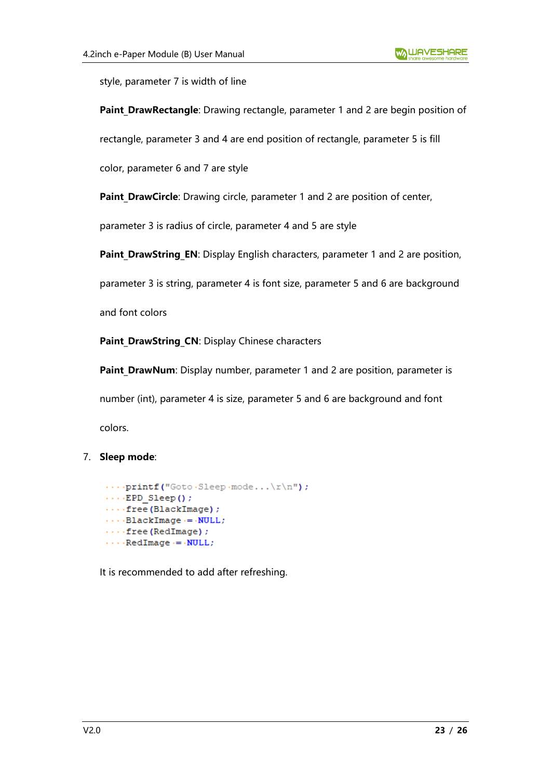style, parameter 7 is width of line

Paint DrawRectangle: Drawing rectangle, parameter 1 and 2 are begin position of

rectangle, parameter 3 and 4 are end position of rectangle, parameter 5 is fill

color, parameter 6 and 7 are style

Paint DrawCircle: Drawing circle, parameter 1 and 2 are position of center,

parameter 3 is radius of circle, parameter 4 and 5 are style

**Paint DrawString EN**: Display English characters, parameter 1 and 2 are position,

parameter 3 is string, parameter 4 is font size, parameter 5 and 6 are background

and font colors

Paint DrawString CN: Display Chinese characters

**Paint DrawNum**: Display number, parameter 1 and 2 are position, parameter is number (int), parameter 4 is size, parameter 5 and 6 are background and font colors.

## 7. **Sleep mode**:

```
\cdotsprintf("GotoSleep\text{mode} \ldots \r \r \r \r \r);
\cdots EPD Sleep();
\cdots free (BlackImage) ;
\cdots BlackImage \cdots NULL;
\cdots free (RedImage) ;
\cdots RedImage \cdots NULL;
```
It is recommended to add after refreshing.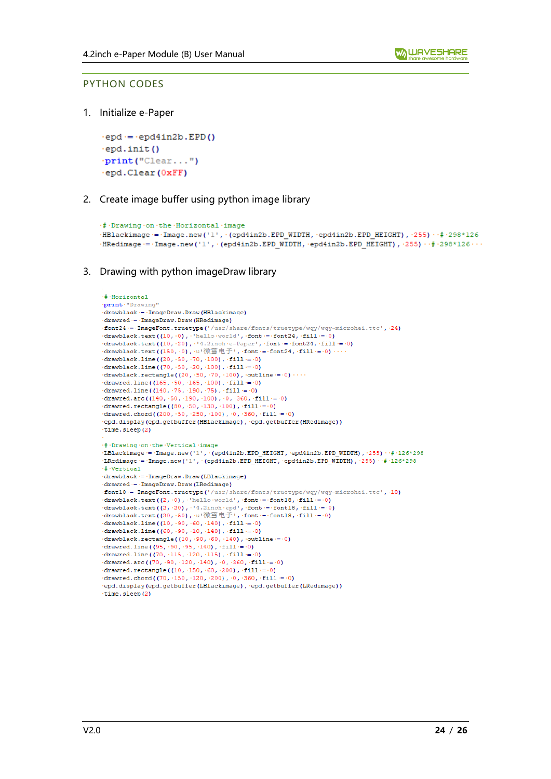#### <span id="page-23-0"></span>PYTHON CODES

1. Initialize e-Paper

```
epd = epd4in2b. EPD()
epd.init()
print ("Clear...")
·epd.Clear(0xFF)
```
2. Create image buffer using python image library

```
.# Drawing .on .the .Horizontal .image
HBlackimage = Image.new('l', (epd4in2b.EPD_WIDTH, epd4in2b.EPD_HEIGHT), 255) +# 298*126
HRedimage = Image.new('1', (epd4in2b.EPD WIDTH, epd4in2b.EPD HEIGHT), 255) · \# 298*126 · · ·
```
3. Drawing with python imageDraw library

```
\cdot#\cdotHorizontal
.print."Drawing'
-drawblack -= -ImageDraw.Draw(HBlackimage)
drawred - ImageDraw.Draw(HRedimage)
.font24 -= . ImageFont.truetype('/usr/share/fonts/truetype/wqy/wqy-microhei.ttc', 24)
\cdotdrawblack.text((10,\cdot0),\cdothello\cdotworld',\cdotfont = \cdotfont24,\cdotfill = \cdot0)
\frac{1}{2} drawblack.text((10, -20), \cdot 4.2inch e-Paper', font = font24, fill = 0)
- drawblack.text((150, \cdot0), \cdotu'微雪电子', \cdotfont = \cdotfont24, \cdotfill = \cdot0)
\cdotdrawblack.line((20, \cdot 50, \cdot 70, \cdot 100), \cdot fill = \cdot0)
\cdotdrawblack.line((70, \cdot 50, \cdot 20, \cdot 100), \cdot fill = \cdot 0)
drawblack.rectangle((20, 50, 70, 100), outline = 0) ...
\cdotdrawred.line((165, \cdot50, \cdot165, \cdot100), \cdotfill=\cdot0)
drawred.line((140, \cdot75, \cdot190, \cdot75), \cdotfill = \cdot0)
\cdotdrawred.arc((140, 50, 190, 100), 0, 360, fill = 0)
drawred.rectangle((80, 50, 130, 100), fill = 0)
\cdotdrawred.chord((200, 50, 250, 100), 0, 360, fill = 0)
epd.display(epd.getbuffer(HBlackimage), epd.getbuffer(HRedimage))
\tt time.sleep(2).# Drawing on the Vertical image
LBlackimage = - Image.new('1', (epd4in2b.EPD HEIGHT, epd4in2b.EPD WIDTH), 255) · # · 126*298
LRedimage = Image.new('1', '(epd4in2b.EPD_HEIGHT, 'epd4in2b.EPD_WIDTH), '255) \# 126*298
\pm Vertical
drawblack -= - ImageDraw. Draw (LBlackimage)
drawred = TmageDraw.Draw(LRedimage)
.font18 = ImageFont.truetype('/usr/share/fonts/truetype/wqy/wqy-microhei.ttc', .18)
drawblack.text((2, -0), -'hello world', -font = -fontl8, -fill = -0)
(drawblack.text(2, 0), "helio world", "font'="fontis, "fill"="0)<br>
drawblack.text(2, 20), "4.2inch epd", "font ="fontis, "fill"="0)<br>
drawblack.text((20, 50), "u"微雪电子", "font ="fontis, "fill"="0)
\cdotdrawblack.line((10,\cdot90,\cdot60,\cdot140),\cdotfill\cdot=\cdot0)
\cdotdrawblack.line((60,\cdot90,\cdot10,\cdot140),\cdotfill\cdot=\cdot0)
\cdotdrawblack.rectangle((10,\cdot90,\cdot60,\cdot140),\cdotoutline= 0)
\cdotdrawred.line((95,\cdot90,\cdot95,\cdot140),\cdotfill\cdot=\cdot0)
\cdotdrawred.line((70, \cdot115, \cdot120, \cdot115), \cdotfill\cdot=\cdot0)
\cdotdrawred.arc((70,\cdot90,\cdot120,\cdot140),\cdot0,\cdot360,\cdotfill\cdot=\cdot0)
\cdotdrawred.rectangle((10, \cdot150, \cdot60, \cdot200),\cdotfill\cdot=\cdot0)
\cdotdrawred.chord((70,\cdot150,\cdot120,\cdot200),\cdot0,\cdot360,\cdotfill\cdot=\cdot0)
·epd.display(epd.getbuffer(LBlackimage), ·epd.getbuffer(LRedimage))
time.sleep(2)
```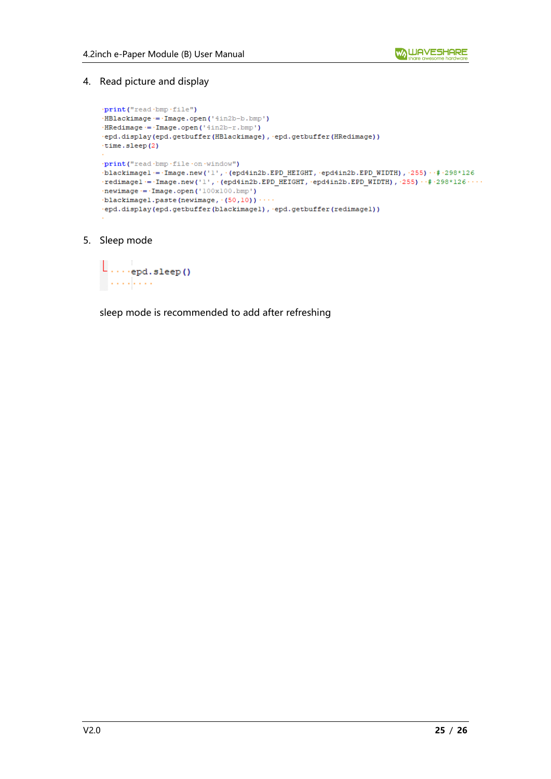4. Read picture and display

```
.print("read.bmp.file")
.HBlackimage := .Image.open('4in2b-b.bmp')
\cdotHRedimage \cdot = \cdot Image.open('4in2b-r.bmp')
·epd.display(epd.getbuffer(HBlackimage), ·epd.getbuffer(HRedimage))
\tt time.sleep(2).print("read.bmp.file.on.window")
\verb+blackimage+ := \verb+Image.new('l', \verb+{(epd4in2b.EPD_HEIGHT, \verb+epd4in2b.EPD_MIDTH), \verb++255)+ \verb+++298*126+\cdotredimagel = \cdotImage.new('1', \cdot(epd4in2b.EPD HEIGHT, \cdotepd4in2b.EPD WIDTH), \cdot255) \cdot\cdot\cdot + 298*126 \cdot\cdot\cdot\cdot\cdotnewimage \cdot = \cdot Image.open('100x100.bmp')
blackimagel.paste(newimage, (50,10))
.epd.display(epd.getbuffer(blackimagel), .epd.getbuffer(redimagel))
```
5. Sleep mode

```
\lfloor \ldots \rfloor_{\text{epd,sleep()}}. . . . . . . . .
```
sleep mode is recommended to add after refreshing